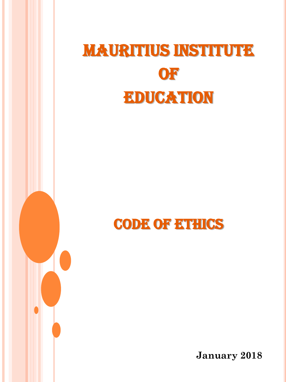# **MAURITIUS INSTITUTE OF** Education

CODE OF ETHICS

**January 2018**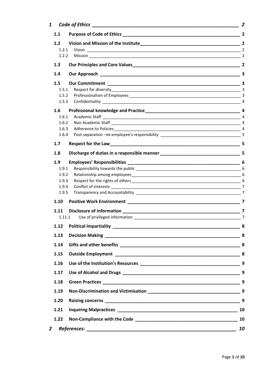| $\mathbf{1}$ | Code of Ethics                      |                 |
|--------------|-------------------------------------|-----------------|
| 1.1          |                                     |                 |
| 1.2          |                                     |                 |
|              | 1.2.1                               |                 |
| 1.2.2        |                                     |                 |
| 1.3          |                                     |                 |
| 1.4          |                                     |                 |
| 1.5          |                                     |                 |
| 1.5.1        |                                     |                 |
| 1.5.2        |                                     |                 |
| 1.5.3        |                                     |                 |
| 1.6          |                                     |                 |
| 1.6.1        |                                     |                 |
| 1.6.2        |                                     |                 |
| 1.6.3        |                                     |                 |
| 1.6.4        |                                     |                 |
| 1.7          |                                     |                 |
| 1.8          |                                     |                 |
| 1.9          |                                     |                 |
| 1.9.1        |                                     |                 |
| 1.9.2        |                                     |                 |
| 1.9.3        |                                     |                 |
| 1.9.4        |                                     | 7               |
| 1.9.5        |                                     |                 |
| 1.10         |                                     | $\overline{7}$  |
| 1.11         |                                     |                 |
|              | 1.11.1                              |                 |
|              | 1.12 Political Impartiality _______ | $\frac{1}{2}$ 8 |
| 1.13         |                                     |                 |
| 1.14         |                                     |                 |
| 1.15         |                                     |                 |
| 1.16         |                                     |                 |
| 1.17         |                                     |                 |
| 1.18         |                                     |                 |
| 1.19         |                                     |                 |
| 1.20         |                                     |                 |
| 1.21         |                                     |                 |
| 1.22         |                                     | 10              |
| 2            |                                     | 10              |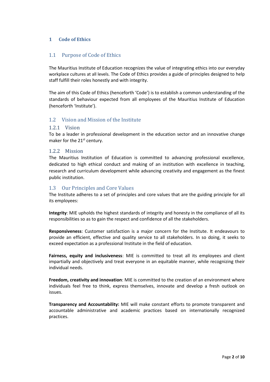# <span id="page-2-0"></span>**1 Code of Ethics**

## <span id="page-2-1"></span>1.1 Purpose of Code of Ethics

The Mauritius Institute of Education recognizes the value of integrating ethics into our everyday workplace cultures at all levels. The Code of Ethics provides a guide of principles designed to help staff fulfill their roles honestly and with integrity.

The aim of this Code of Ethics (henceforth 'Code') is to establish a common understanding of the standards of behaviour expected from all employees of the Mauritius Institute of Education (henceforth 'Institute').

# <span id="page-2-2"></span>1.2 Vision and Mission of the Institute

## <span id="page-2-3"></span>1.2.1 Vision

To be a leader in professional development in the education sector and an innovative change maker for the 21<sup>st</sup> century.

## <span id="page-2-4"></span>1.2.2 Mission

The Mauritius Institution of Education is committed to advancing professional excellence, dedicated to high ethical conduct and making of an institution with excellence in teaching, research and curriculum development while advancing creativity and engagement as the finest public institution.

## <span id="page-2-5"></span>1.3 Our Principles and Core Values

The Institute adheres to a set of principles and core values that are the guiding principle for all its employees:

**Integrity**: MIE upholds the highest standards of integrity and honesty in the compliance of all its responsibilities so as to gain the respect and confidence of all the stakeholders.

**Responsiveness**: Customer satisfaction is a major concern for the Institute. It endeavours to provide an efficient, effective and quality service to all stakeholders. In so doing, it seeks to exceed expectation as a professional Institute in the field of education.

**Fairness, equity and inclusiveness**: MIE is committed to treat all its employees and client impartially and objectively and treat everyone in an equitable manner, while recognizing their individual needs.

**Freedom, creativity and innovation**: MIE is committed to the creation of an environment where individuals feel free to think, express themselves, innovate and develop a fresh outlook on issues.

**Transparency and Accountability:** MIE will make constant efforts to promote transparent and accountable administrative and academic practices based on internationally recognized practices.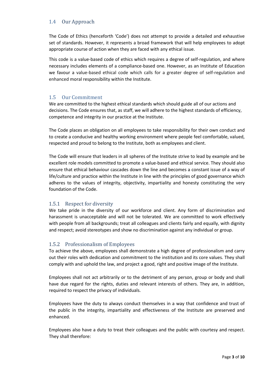# <span id="page-3-0"></span>1.4 Our Approach

The Code of Ethics (henceforth 'Code') does not attempt to provide a detailed and exhaustive set of standards. However, it represents a broad framework that will help employees to adopt appropriate course of action when they are faced with any ethical issue.

This code is a value-based code of ethics which requires a degree of self-regulation, and where necessary includes elements of a compliance-based one. However, as an Institute of Education we favour a value-based ethical code which calls for a greater degree of self-regulation and enhanced moral responsibility within the Institute.

# <span id="page-3-1"></span>1.5 Our Commitment

We are committed to the highest ethical standards which should guide all of our actions and decisions. The Code ensures that, as staff, we will adhere to the highest standards of efficiency, competence and integrity in our practice at the Institute.

The Code places an obligation on all employees to take responsibility for their own conduct and to create a conducive and healthy working environment where people feel comfortable, valued, respected and proud to belong to the Institute, both as employees and client.

The Code will ensure that leaders in all spheres of the Institute strive to lead by example and be excellent role models committed to promote a value-based and ethical service. They should also ensure that ethical behaviour cascades down the line and becomes a constant issue of a way of life/culture and practice within the Institute in line with the principles of good governance which adheres to the values of integrity, objectivity, impartiality and honesty constituting the very foundation of the Code.

# <span id="page-3-2"></span>1.5.1 Respect for diversity

We take pride in the diversity of our workforce and client. Any form of discrimination and harassment is unacceptable and will not be tolerated. We are committed to work effectively with people from all backgrounds; treat all colleagues and clients fairly and equally, with dignity and respect; avoid stereotypes and show no discrimination against any individual or group.

# <span id="page-3-3"></span>1.5.2 Professionalism of Employees

To achieve the above, employees shall demonstrate a high degree of professionalism and carry out their roles with dedication and commitment to the institution and its core values. They shall comply with and uphold the law, and project a good, right and positive image of the Institute.

Employees shall not act arbitrarily or to the detriment of any person, group or body and shall have due regard for the rights, duties and relevant interests of others. They are, in addition, required to respect the privacy of individuals.

Employees have the duty to always conduct themselves in a way that confidence and trust of the public in the integrity, impartiality and effectiveness of the Institute are preserved and enhanced.

Employees also have a duty to treat their colleagues and the public with courtesy and respect. They shall therefore: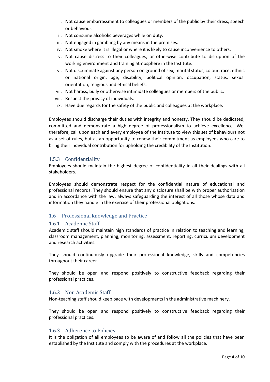- i. Not cause embarrassment to colleagues or members of the public by their dress, speech or behaviour.
- ii. Not consume alcoholic beverages while on duty.
- iii. Not engaged in gambling by any means in the premises.
- iv. Not smoke where it is illegal or where it is likely to cause inconvenience to others.
- v. Not cause distress to their colleagues, or otherwise contribute to disruption of the working environment and training atmosphere in the Institute.
- vi. Not discriminate against any person on ground of sex, marital status, colour, race, ethnic or national origin, age, disability, political opinion, occupation, status, sexual orientation, religious and ethical beliefs.
- vii. Not harass, bully or otherwise intimidate colleagues or members of the public.
- viii. Respect the privacy of individuals.
- ix. Have due regards for the safety of the public and colleagues at the workplace.

Employees should discharge their duties with integrity and honesty. They should be dedicated, committed and demonstrate a high degree of professionalism to achieve excellence. We, therefore, call upon each and every employee of the Institute to view this set of behaviours not as a set of rules, but as an opportunity to renew their commitment as employees who care to bring their individual contribution for upholding the credibility of the Institution.

## <span id="page-4-0"></span>1.5.3 Confidentiality

Employees should maintain the highest degree of confidentiality in all their dealings with all stakeholders.

Employees should demonstrate respect for the confidential nature of educational and professional records. They should ensure that any disclosure shall be with proper authorisation and in accordance with the law, always safeguarding the interest of all those whose data and information they handle in the exercise of their professional obligations.

# <span id="page-4-1"></span>1.6 Professional knowledge and Practice

#### <span id="page-4-2"></span>1.6.1 Academic Staff

Academic staff should maintain high standards of practice in relation to teaching and learning, classroom management, planning, monitoring, assessment, reporting, curriculum development and research activities.

They should continuously upgrade their professional knowledge, skills and competencies throughout their career.

They should be open and respond positively to constructive feedback regarding their professional practices.

# <span id="page-4-3"></span>1.6.2 Non Academic Staff

Non-teaching staff should keep pace with developments in the administrative machinery.

They should be open and respond positively to constructive feedback regarding their professional practices.

#### <span id="page-4-4"></span>1.6.3 Adherence to Policies

It is the obligation of all employees to be aware of and follow all the policies that have been established by the Institute and comply with the procedures at the workplace.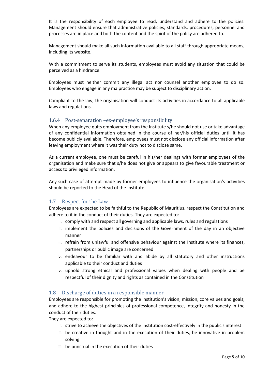It is the responsibility of each employee to read, understand and adhere to the policies. Management should ensure that administrative policies, standards, procedures, personnel and processes are in place and both the content and the spirit of the policy are adhered to.

Management should make all such information available to all staff through appropriate means, including its website.

With a commitment to serve its students, employees must avoid any situation that could be perceived as a hindrance.

Employees must neither commit any illegal act nor counsel another employee to do so. Employees who engage in any malpractice may be subject to disciplinary action.

Compliant to the law, the organisation will conduct its activities in accordance to all applicable laws and regulations.

#### <span id="page-5-0"></span>1.6.4 Post-separation –ex-employee's responsibility

When any employee quits employment from the Institute s/he should not use or take advantage of any confidential information obtained in the course of her/his official duties until it has become publicly available. Therefore, employees must not disclose any official information after leaving employment where it was their duty not to disclose same.

As a current employee, one must be careful in his/her dealings with former employees of the organisation and make sure that s/he does not give or appears to give favourable treatment or access to privileged information.

Any such case of attempt made by former employees to influence the organisation's activities should be reported to the Head of the Institute.

#### <span id="page-5-1"></span>1.7 Respect for the Law

Employees are expected to be faithful to the Republic of Mauritius, respect the Constitution and adhere to it in the conduct of their duties. They are expected to:

- i. comply with and respect all governing and applicable laws, rules and regulations
- ii. implement the policies and decisions of the Government of the day in an objective manner
- iii. refrain from unlawful and offensive behaviour against the Institute where its finances, partnerships or public image are concerned
- iv. endeavour to be familiar with and abide by all statutory and other instructions applicable to their conduct and duties
- v. uphold strong ethical and professional values when dealing with people and be respectful of their dignity and rights as contained in the Constitution

#### <span id="page-5-2"></span>1.8 Discharge of duties in a responsible manner

Employees are responsible for promoting the institution's vision, mission, core values and goals; and adhere to the highest principles of professional competence, integrity and honesty in the conduct of their duties.

They are expected to:

- i. strive to achieve the objectives of the institution cost-effectively in the public's interest
- ii. be creative in thought and in the execution of their duties, be innovative in problem solving
- iii. be punctual in the execution of their duties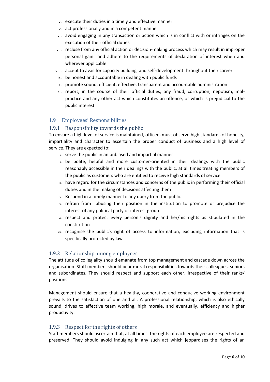- iv. execute their duties in a timely and effective manner
- v. act professionally and in a competent manner
- vi. avoid engaging in any transaction or action which is in conflict with or infringes on the execution of their official duties
- vii. recluse from any official action or decision-making process which may result in improper personal gain and adhere to the requirements of declaration of interest when and wherever applicable.
- viii. accept to avail for capacity building and self-development throughout their career
- ix. be honest and accountable in dealing with public funds
- x. promote sound, efficient, effective, transparent and accountable administration
- xi. report, in the course of their official duties, any fraud, corruption, nepotism, malpractice and any other act which constitutes an offence, or which is prejudicial to the public interest.

# <span id="page-6-0"></span>1.9 Employees' Responsibilities

# <span id="page-6-1"></span>1.9.1 Responsibility towards the public

To ensure a high level of service is maintained, officers must observe high standards of honesty, impartiality and character to ascertain the proper conduct of business and a high level of service. They are expected to:

- i. serve the public in an unbiased and impartial manner
- ii. be polite, helpful and more customer-oriented in their dealings with the public reasonably accessible in their dealings with the public, at all times treating members of the public as customers who are entitled to receive high standards of service
- iii. have regard for the circumstances and concerns of the public in performing their official duties and in the making of decisions affecting them
- iv. Respond in a timely manner to any query from the public
- v. refrain from abusing their position in the institution to promote or prejudice the interest of any political party or interest group
- vi. respect and protect every person's dignity and her/his rights as stipulated in the constitution
- vii. recognise the public's right of access to information, excluding information that is specifically protected by law

# <span id="page-6-2"></span>1.9.2 Relationship among employees

The attitude of collegiality should emanate from top management and cascade down across the organisation. Staff members should bear moral responsibilities towards their colleagues, seniors and subordinates. They should respect and support each other, irrespective of their ranks/ positions.

Management should ensure that a healthy, cooperative and conducive working environment prevails to the satisfaction of one and all. A professional relationship, which is also ethically sound, drives to effective team working, high morale, and eventually, efficiency and higher productivity.

#### <span id="page-6-3"></span>1.9.3 Respect for the rights of others

Staff members should ascertain that, at all times, the rights of each employee are respected and preserved. They should avoid indulging in any such act which jeopardises the rights of an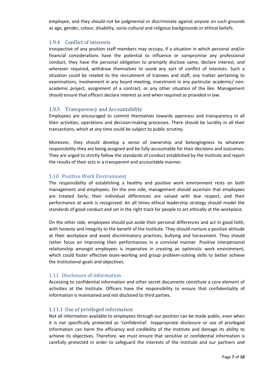employee, and they should not be judgmental or discriminate against anyone on such grounds as age, gender, colour, disability, socio-cultural and religious backgrounds or ethical beliefs.

# <span id="page-7-0"></span>1.9.4 Conflict of interests

Irrespective of any position staff members may occupy, if a situation in which personal and/or financial considerations have the potential to influence or compromise any professional conduct, they have the personal obligation to promptly disclose same, declare interest, and wherever required, withdraw themselves to avoid any sort of conflict of interests. Such a situation could be related to the recruitment of trainees and staff, any matter pertaining to examinations, involvement in any board meeting, investment in any particular academic/ nonacademic project, assignment of a contract, or any other situation of the like. Management should ensure that officers declare interest as and when required as provided in law.

# <span id="page-7-1"></span>1.9.5 Transparency and Accountability

Employees are encouraged to commit themselves towards openness and transparency in all their activities, operations and decision-making processes. There should be lucidity in all their transactions, which at any time could be subject to public scrutiny.

Moreover, they should develop a sense of ownership and belongingness to whatever responsibility they are being assigned and be fully accountable for their decisions and outcomes. They are urged to strictly follow the standards of conduct established by the Institute and report the results of their acts in a transparent and accountable manner.

# <span id="page-7-2"></span>1.10 Positive Work Environment

The responsibility of establishing a healthy and positive work environment rests on both management and employees. On the one side, management should ascertain that employees are treated fairly, their individual differences are valued with due respect, and their performance at work is recognized. An all times ethical leadership strategy should model the standards of good conduct and set in the right track for people to act ethically at the workplace.

On the other side, employees should put aside their personal differences and act in good faith, with honesty and integrity to the benefit of the Institute. They should nurture a positive attitude at their workplace and avoid discriminatory practices, bullying and harassment. They should rather focus on improving their performances in a convivial manner. Positive interpersonal relationship amongst employees is imperative in creating an optimistic work environment, which could foster effective team-working and group problem-solving skills to better achieve the institutional goals and objectives.

# <span id="page-7-3"></span>1.11 Disclosure of information

Accessing to confidential information and other secret documents constitute a core element of activities at the Institute. Officers have the responsibility to ensure that confidentiality of information is maintained and not disclosed to third parties.

# <span id="page-7-4"></span>1.11.1 Use of privileged information

Not all information available to employees through our position can be made public, even when it is not specifically protected as 'confidential'. Inappropriate disclosure or use of privileged information can harm the efficiency and credibility of the Institute and damage its ability to achieve its objectives. Therefore, we must ensure that sensitive or confidential information is carefully protected in order to safeguard the interests of the Institute and our partners and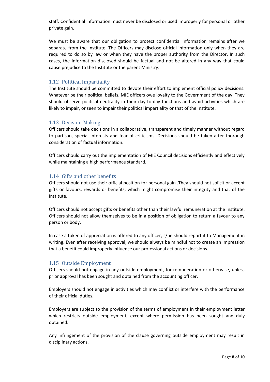staff. Confidential information must never be disclosed or used improperly for personal or other private gain.

We must be aware that our obligation to protect confidential information remains after we separate from the Institute. The Officers may disclose official information only when they are required to do so by law or when they have the proper authority from the Director. In such cases, the information disclosed should be factual and not be altered in any way that could cause prejudice to the Institute or the parent Ministry.

#### <span id="page-8-0"></span>1.12 Political Impartiality

The Institute should be committed to devote their effort to implement official policy decisions. Whatever be their political beliefs, MIE officers owe loyalty to the Government of the day. They should observe political neutrality in their day-to-day functions and avoid activities which are likely to impair, or seen to impair their political impartiality or that of the Institute.

#### <span id="page-8-1"></span>1.13 Decision Making

Officers should take decisions in a collaborative, transparent and timely manner without regard to partisan, special interests and fear of criticisms. Decisions should be taken after thorough consideration of factual information.

Officers should carry out the implementation of MIE Council decisions efficiently and effectively while maintaining a high performance standard.

## <span id="page-8-2"></span>1.14 Gifts and other benefits

Officers should not use their official position for personal gain .They should not solicit or accept gifts or favours, rewards or benefits, which might compromise their integrity and that of the Institute.

Officers should not accept gifts or benefits other than their lawful remuneration at the Institute. Officers should not allow themselves to be in a position of obligation to return a favour to any person or body.

In case a token of appreciation is offered to any officer, s/he should report it to Management in writing. Even after receiving approval, we should always be mindful not to create an impression that a benefit could improperly influence our professional actions or decisions.

#### <span id="page-8-3"></span>1.15 Outside Employment

Officers should not engage in any outside employment, for remuneration or otherwise, unless prior approval has been sought and obtained from the accounting officer.

Employers should not engage in activities which may conflict or interfere with the performance of their official duties.

Employers are subject to the provision of the terms of employment in their employment letter which restricts outside employment, except where permission has been sought and duly obtained.

Any infringement of the provision of the clause governing outside employment may result in disciplinary actions.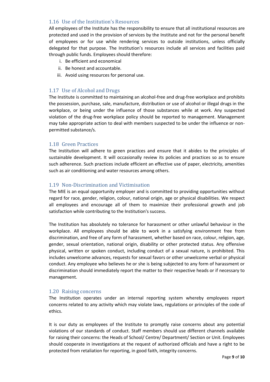# <span id="page-9-0"></span>1.16 Use of the Institution's Resources

All employees of the Institute has the responsibility to ensure that all institutional resources are protected and used in the provision of services by the Institute and not for the personal benefit of employees or for use while rendering services to outside institutions, unless officially delegated for that purpose. The Institution's resources include all services and facilities paid through public funds. Employees should therefore:

- i. Be efficient and economical
- ii. Be honest and accountable.
- iii. Avoid using resources for personal use.

## <span id="page-9-1"></span>1.17 Use of Alcohol and Drugs

The Institute is committed to maintaining an alcohol-free and drug-free workplace and prohibits the possession, purchase, sale, manufacture, distribution or use of alcohol or illegal drugs in the workplace, or being under the influence of those substances while at work. Any suspected violation of the drug-free workplace policy should be reported to management. Management may take appropriate action to deal with members suspected to be under the influence or nonpermitted substance/s.

## <span id="page-9-2"></span>1.18 Green Practices

The Institution will adhere to green practices and ensure that it abides to the principles of sustainable development. It will occasionally review its policies and practices so as to ensure such adherence. Such practices include efficient an effective use of paper, electricity, amenities such as air conditioning and water resources among others.

## <span id="page-9-3"></span>1.19 Non-Discrimination and Victimisation

The MIE is an equal opportunity employer and is committed to providing opportunities without regard for race, gender, religion, colour, national origin, age or physical disabilities. We respect all employees and encourage all of them to maximize their professional growth and job satisfaction while contributing to the Institution's success.

The Institution has absolutely no tolerance for harassment or other unlawful behaviour in the workplace. All employees should be able to work in a satisfying environment free from discrimination, and free of any form of harassment, whether based on race, colour, religion, age, gender, sexual orientation, national origin, disability or other protected status. Any offensive physical, written or spoken conduct, including conduct of a sexual nature, is prohibited. This includes unwelcome advances, requests for sexual favors or other unwelcome verbal or physical conduct. Any employee who believes he or she is being subjected to any form of harassment or discrimination should immediately report the matter to their respective heads or if necessary to management.

#### <span id="page-9-4"></span>1.20 Raising concerns

The Institution operates under an internal reporting system whereby employees report concerns related to any activity which may violate laws, regulations or principles of the code of ethics.

It is our duty as employees of the Institute to promptly raise concerns about any potential violations of our standards of conduct. Staff members should use different channels available for raising their concerns: the Heads of School/ Centre/ Department/ Section or Unit. Employees should cooperate in investigations at the request of authorized officials and have a right to be protected from retaliation for reporting, in good faith, integrity concerns.